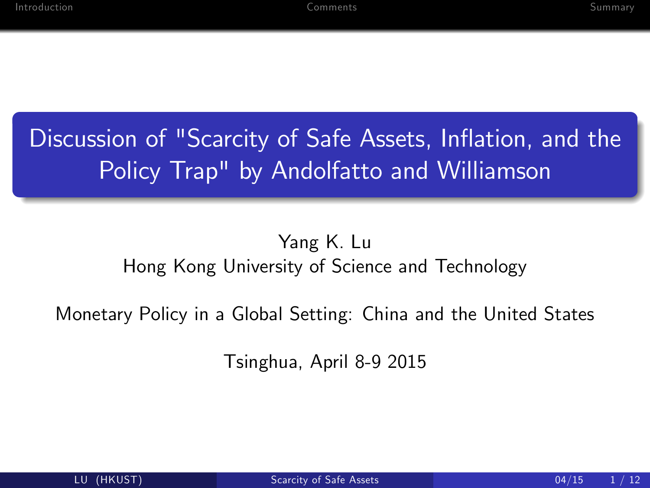# Discussion of "Scarcity of Safe Assets, Inflation, and the Policy Trap" by Andolfatto and Williamson

#### Yang K. Lu Hong Kong University of Science and Technology

Monetary Policy in a Global Setting: China and the United States

<span id="page-0-0"></span>Tsinghua, April 8-9 2015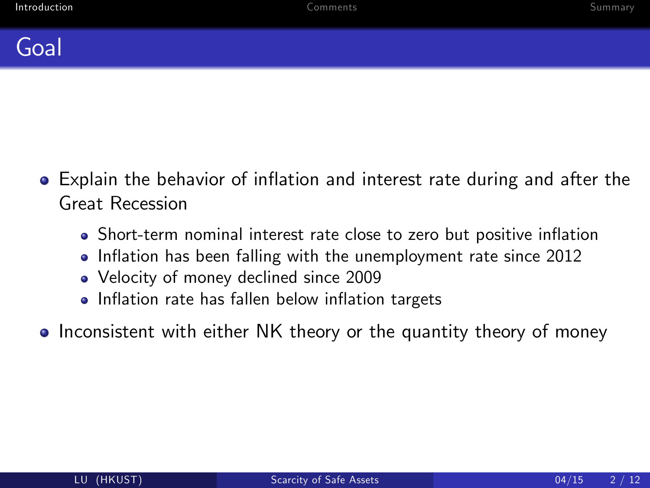

- Explain the behavior of inflation and interest rate during and after the Great Recession
	- Short-term nominal interest rate close to zero but positive inflation
	- Inflation has been falling with the unemployment rate since 2012
	- Velocity of money declined since 2009
	- Inflation rate has fallen below inflation targets
- <span id="page-1-0"></span>• Inconsistent with either NK theory or the quantity theory of money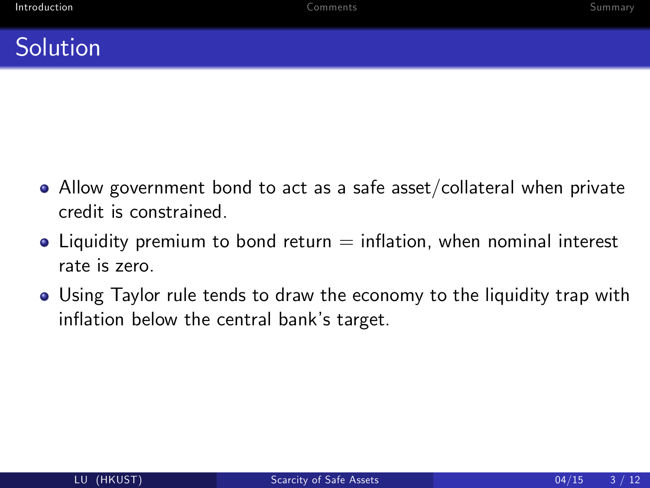#### **Solution**

- $\bullet$  Allow government bond to act as a safe asset/collateral when private credit is constrained.
- $\bullet$  Liquidity premium to bond return  $=$  inflation, when nominal interest rate is zero.
- Using Taylor rule tends to draw the economy to the liquidity trap with inflation below the central bank's target.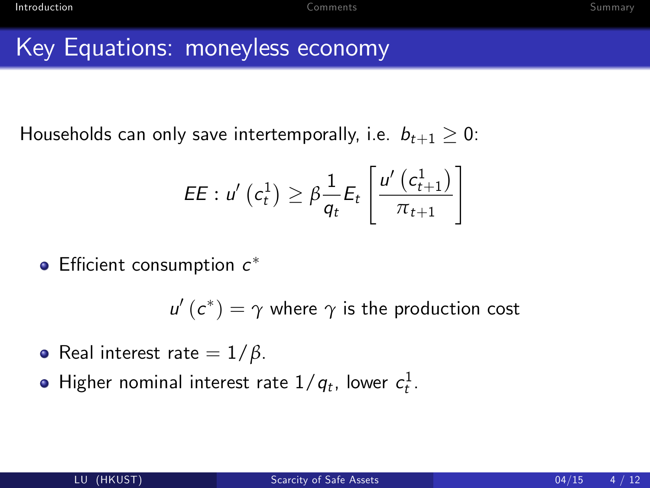### Key Equations: moneyless economy

Households can only save intertemporally, i.e.  $b_{t+1} > 0$ :

$$
EE: u'\left(c_t^1\right) \geq \beta \frac{1}{q_t} E_t\left[\frac{u'\left(c_{t+1}^1\right)}{\pi_{t+1}}\right]
$$

Efficient consumption  $c^*$ 

 $u'\left( c^{\ast }\right) =\gamma$  where  $\gamma$  is the production cost

- Real interest rate = 1/*β*.
- Higher nominal interest rate  $1/q_t$ , lower  $c^1_t$ .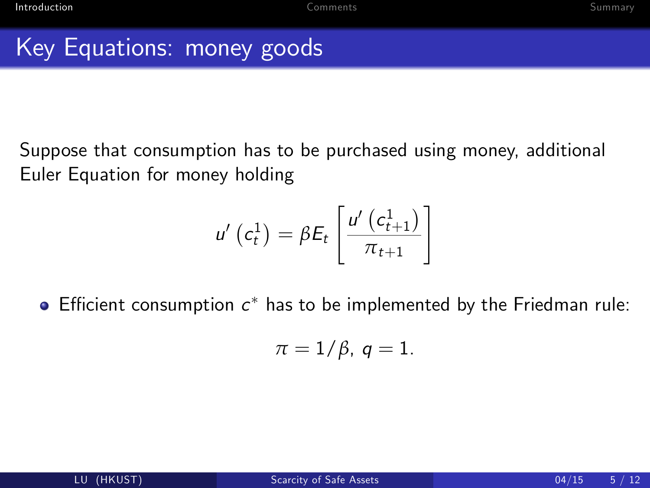## Key Equations: money goods

Suppose that consumption has to be purchased using money, additional Euler Equation for money holding

$$
u'\left(c_t^1\right) = \beta E_t\left[\frac{u'\left(c_{t+1}^1\right)}{\pi_{t+1}}\right]
$$

Efficient consumption  $c^*$  has to be implemented by the Friedman rule:

$$
\pi=1/\beta,\,q=1.
$$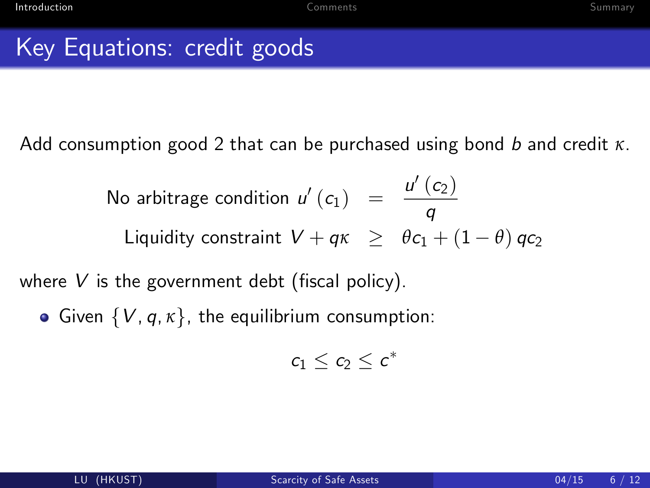#### Key Equations: credit goods

Add consumption good 2 that can be purchased using bond b and credit *κ*.

No arbitrage condition 
$$
u'(c_1) = \frac{u'(c_2)}{q}
$$
  
Liquidity constraint  $V + q\kappa \ge \theta c_1 + (1 - \theta) qc_2$ 

where  $V$  is the government debt (fiscal policy).

Given  $\{V, q, \kappa\}$ , the equilibrium consumption:

$$
c_1\leq c_2\leq c^*
$$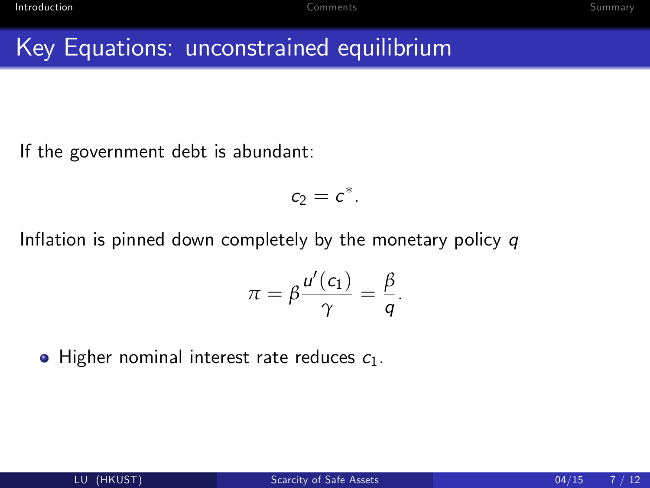#### Key Equations: unconstrained equilibrium

If the government debt is abundant:

$$
c_2=c^*.
$$

Inflation is pinned down completely by the monetary policy  $q$ 

$$
\pi = \beta \frac{u'(c_1)}{\gamma} = \frac{\beta}{q}.
$$

 $\bullet$  Higher nominal interest rate reduces  $c_1$ .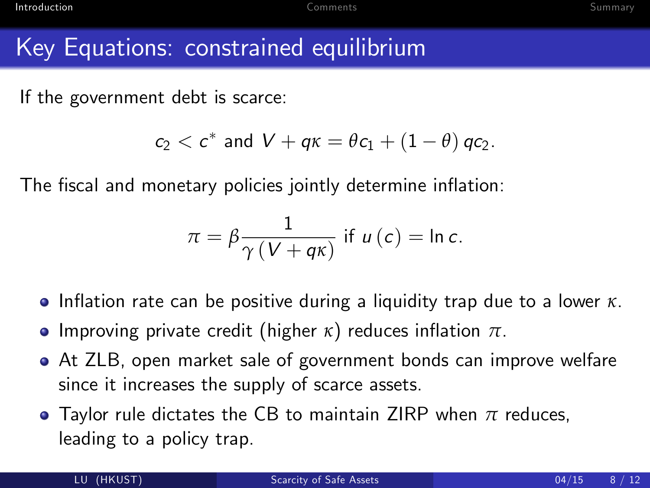#### Key Equations: constrained equilibrium

If the government debt is scarce:

$$
c_2 < c^* \text{ and } V + q\kappa = \theta c_1 + (1-\theta) \, qc_2.
$$

The fiscal and monetary policies jointly determine inflation:

$$
\pi = \beta \frac{1}{\gamma (V + q\kappa)} \text{ if } u(c) = \ln c.
$$

- **•** Inflation rate can be positive during a liquidity trap due to a lower *κ*.
- **•** Improving private credit (higher  $\kappa$ ) reduces inflation  $\pi$ .
- At ZLB, open market sale of government bonds can improve welfare since it increases the supply of scarce assets.
- Taylor rule dictates the CB to maintain ZIRP when *π* reduces, leading to a policy trap.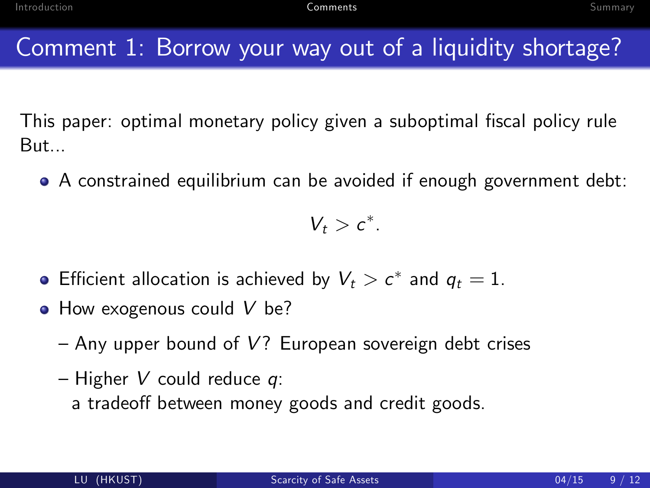### Comment 1: Borrow your way out of a liquidity shortage?

This paper: optimal monetary policy given a suboptimal fiscal policy rule But...

• A constrained equilibrium can be avoided if enough government debt:

<span id="page-8-0"></span> $V_t > c^*$ .

- Efficient allocation is achieved by  $V_t>c^\ast$  and  $q_t=1$ .
- How exogenous could V be?
	- $-$  Any upper bound of V? European sovereign debt crises
	- $-$  Higher V could reduce q:
		- a tradeoff between money goods and credit goods.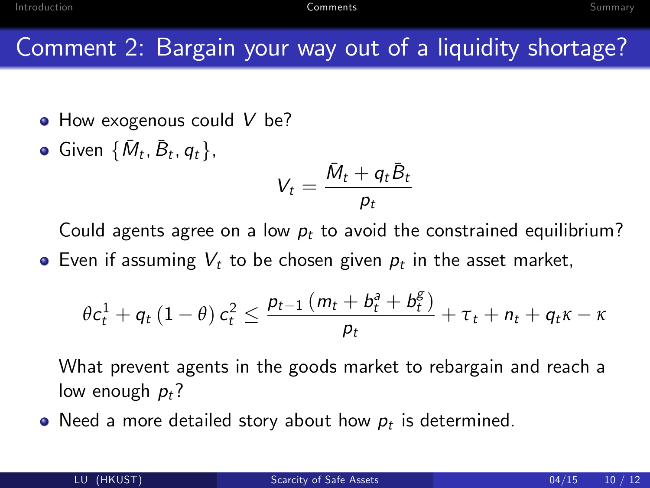### Comment 2: Bargain your way out of a liquidity shortage?

- How exogenous could V be?
- Given  $\{\bar{M}_t, \bar{B}_t, q_t\},\$

$$
V_t = \frac{\bar{M}_t + q_t \bar{B}_t}{p_t}
$$

Could agents agree on a low  $p_t$  to avoid the constrained equilibrium?

Even if assuming  $V_t$  to be chosen given  $p_t$  in the asset market,

$$
\theta c_t^1 + q_t (1-\theta) c_t^2 \leq \frac{p_{t-1} (m_t + b_t^a + b_t^g)}{p_t} + \tau_t + n_t + q_t \kappa - \kappa
$$

What prevent agents in the goods market to rebargain and reach a low enough  $p_t$ ?

Need a more detailed story about how  $p_t$  is determined.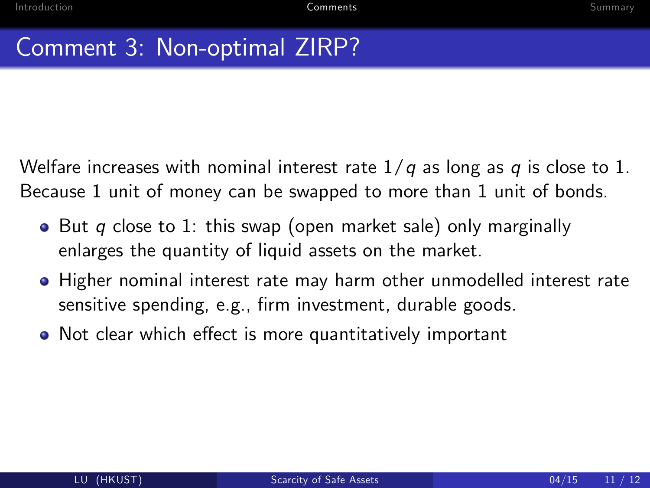## Comment 3: Non-optimal ZIRP?

Welfare increases with nominal interest rate  $1/q$  as long as q is close to 1. Because 1 unit of money can be swapped to more than 1 unit of bonds.

- $\bullet$  But q close to 1: this swap (open market sale) only marginally enlarges the quantity of liquid assets on the market.
- Higher nominal interest rate may harm other unmodelled interest rate sensitive spending, e.g., Örm investment, durable goods.
- Not clear which effect is more quantitatively important